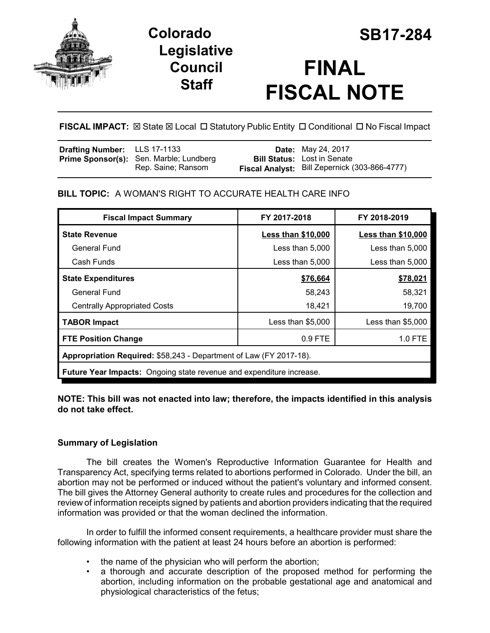



# **FINAL FISCAL NOTE**

**FISCAL IMPACT:** ⊠ State ⊠ Local □ Statutory Public Entity □ Conditional □ No Fiscal Impact

| <b>Drafting Number:</b> LLS 17-1133 |                                         | <b>Date:</b> May 24, 2017                     |
|-------------------------------------|-----------------------------------------|-----------------------------------------------|
|                                     | Prime Sponsor(s): Sen. Marble; Lundberg | <b>Bill Status:</b> Lost in Senate            |
|                                     | Rep. Saine; Ransom                      | Fiscal Analyst: Bill Zepernick (303-866-4777) |

**BILL TOPIC:** A WOMAN'S RIGHT TO ACCURATE HEALTH CARE INFO

| <b>Fiscal Impact Summary</b>                                                | FY 2017-2018              | FY 2018-2019              |  |  |  |
|-----------------------------------------------------------------------------|---------------------------|---------------------------|--|--|--|
| <b>State Revenue</b>                                                        | <b>Less than \$10,000</b> | <b>Less than \$10,000</b> |  |  |  |
| General Fund                                                                | Less than 5,000           | Less than 5,000           |  |  |  |
| Cash Funds                                                                  | Less than $5,000$         | Less than 5,000           |  |  |  |
| <b>State Expenditures</b>                                                   | \$76,664                  | \$78,021                  |  |  |  |
| General Fund                                                                | 58,243                    | 58,321                    |  |  |  |
| <b>Centrally Appropriated Costs</b>                                         | 18,421                    | 19,700                    |  |  |  |
| <b>TABOR Impact</b>                                                         | Less than $$5,000$        | Less than \$5,000         |  |  |  |
| <b>FTE Position Change</b>                                                  | 0.9 FTE                   | 1.0 FTE                   |  |  |  |
| Appropriation Required: \$58,243 - Department of Law (FY 2017-18).          |                           |                           |  |  |  |
| <b>Future Year Impacts:</b> Ongoing state revenue and expenditure increase. |                           |                           |  |  |  |

**NOTE: This bill was not enacted into law; therefore, the impacts identified in this analysis do not take effect.**

## **Summary of Legislation**

The bill creates the Women's Reproductive Information Guarantee for Health and Transparency Act, specifying terms related to abortions performed in Colorado. Under the bill, an abortion may not be performed or induced without the patient's voluntary and informed consent. The bill gives the Attorney General authority to create rules and procedures for the collection and review of information receipts signed by patients and abortion providers indicating that the required information was provided or that the woman declined the information.

In order to fulfill the informed consent requirements, a healthcare provider must share the following information with the patient at least 24 hours before an abortion is performed:

- the name of the physician who will perform the abortion;
- a thorough and accurate description of the proposed method for performing the abortion, including information on the probable gestational age and anatomical and physiological characteristics of the fetus;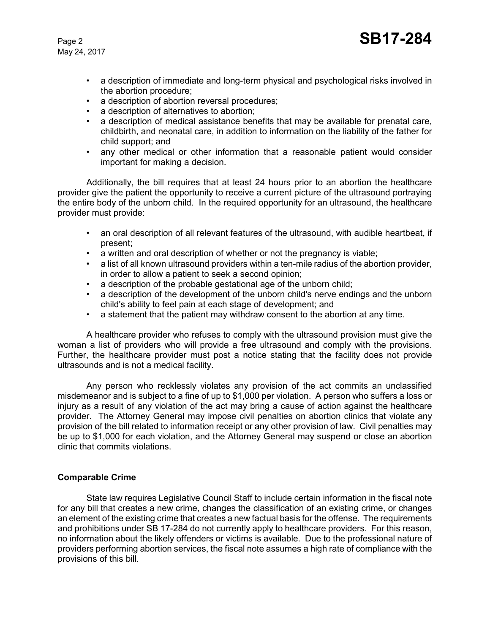May 24, 2017

- a description of immediate and long-term physical and psychological risks involved in the abortion procedure;
- a description of abortion reversal procedures;
- a description of alternatives to abortion;
- a description of medical assistance benefits that may be available for prenatal care, childbirth, and neonatal care, in addition to information on the liability of the father for child support; and
- any other medical or other information that a reasonable patient would consider important for making a decision.

Additionally, the bill requires that at least 24 hours prior to an abortion the healthcare provider give the patient the opportunity to receive a current picture of the ultrasound portraying the entire body of the unborn child. In the required opportunity for an ultrasound, the healthcare provider must provide:

- an oral description of all relevant features of the ultrasound, with audible heartbeat, if present;
- a written and oral description of whether or not the pregnancy is viable;
- a list of all known ultrasound providers within a ten-mile radius of the abortion provider, in order to allow a patient to seek a second opinion;
- a description of the probable gestational age of the unborn child;
- a description of the development of the unborn child's nerve endings and the unborn child's ability to feel pain at each stage of development; and
- a statement that the patient may withdraw consent to the abortion at any time.

A healthcare provider who refuses to comply with the ultrasound provision must give the woman a list of providers who will provide a free ultrasound and comply with the provisions. Further, the healthcare provider must post a notice stating that the facility does not provide ultrasounds and is not a medical facility.

Any person who recklessly violates any provision of the act commits an unclassified misdemeanor and is subject to a fine of up to \$1,000 per violation. A person who suffers a loss or injury as a result of any violation of the act may bring a cause of action against the healthcare provider. The Attorney General may impose civil penalties on abortion clinics that violate any provision of the bill related to information receipt or any other provision of law. Civil penalties may be up to \$1,000 for each violation, and the Attorney General may suspend or close an abortion clinic that commits violations.

#### **Comparable Crime**

State law requires Legislative Council Staff to include certain information in the fiscal note for any bill that creates a new crime, changes the classification of an existing crime, or changes an element of the existing crime that creates a new factual basis for the offense. The requirements and prohibitions under SB 17-284 do not currently apply to healthcare providers. For this reason, no information about the likely offenders or victims is available. Due to the professional nature of providers performing abortion services, the fiscal note assumes a high rate of compliance with the provisions of this bill.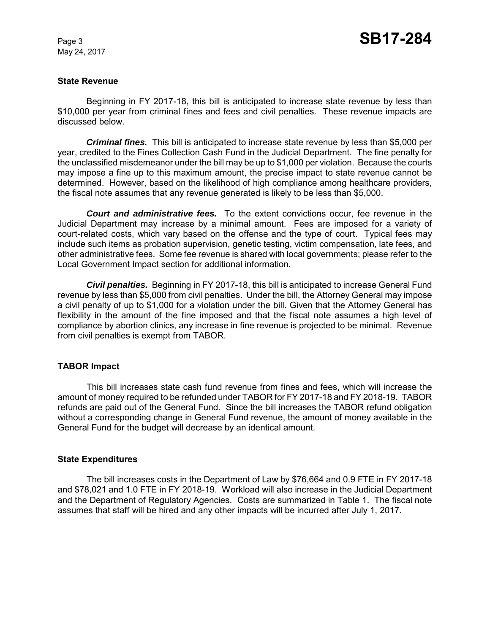May 24, 2017

#### **State Revenue**

Beginning in FY 2017-18, this bill is anticipated to increase state revenue by less than \$10,000 per year from criminal fines and fees and civil penalties. These revenue impacts are discussed below.

*Criminal fines.* This bill is anticipated to increase state revenue by less than \$5,000 per year, credited to the Fines Collection Cash Fund in the Judicial Department. The fine penalty for the unclassified misdemeanor under the bill may be up to \$1,000 per violation. Because the courts may impose a fine up to this maximum amount, the precise impact to state revenue cannot be determined. However, based on the likelihood of high compliance among healthcare providers, the fiscal note assumes that any revenue generated is likely to be less than \$5,000.

*Court and administrative fees.* To the extent convictions occur, fee revenue in the Judicial Department may increase by a minimal amount. Fees are imposed for a variety of court-related costs, which vary based on the offense and the type of court. Typical fees may include such items as probation supervision, genetic testing, victim compensation, late fees, and other administrative fees. Some fee revenue is shared with local governments; please refer to the Local Government Impact section for additional information.

*Civil penalties.* Beginning in FY 2017-18, this bill is anticipated to increase General Fund revenue by less than \$5,000 from civil penalties. Under the bill, the Attorney General may impose a civil penalty of up to \$1,000 for a violation under the bill. Given that the Attorney General has flexibility in the amount of the fine imposed and that the fiscal note assumes a high level of compliance by abortion clinics, any increase in fine revenue is projected to be minimal. Revenue from civil penalties is exempt from TABOR.

#### **TABOR Impact**

This bill increases state cash fund revenue from fines and fees, which will increase the amount of money required to be refunded under TABOR for FY 2017-18 and FY 2018-19. TABOR refunds are paid out of the General Fund. Since the bill increases the TABOR refund obligation without a corresponding change in General Fund revenue, the amount of money available in the General Fund for the budget will decrease by an identical amount.

#### **State Expenditures**

The bill increases costs in the Department of Law by \$76,664 and 0.9 FTE in FY 2017-18 and \$78,021 and 1.0 FTE in FY 2018-19. Workload will also increase in the Judicial Department and the Department of Regulatory Agencies. Costs are summarized in Table 1. The fiscal note assumes that staff will be hired and any other impacts will be incurred after July 1, 2017.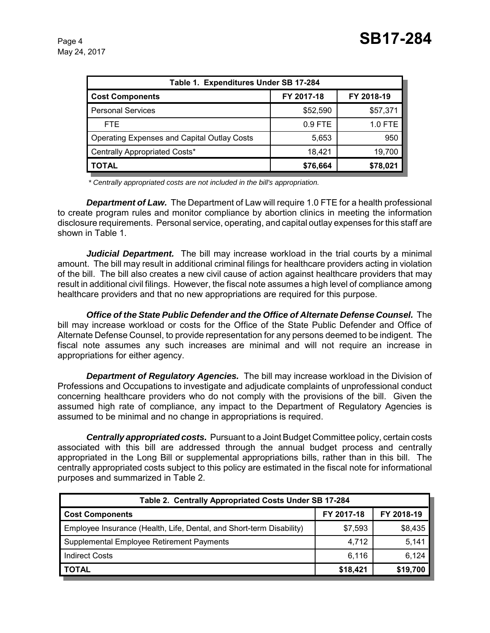| Table 1. Expenditures Under SB 17-284       |            |                |  |  |  |
|---------------------------------------------|------------|----------------|--|--|--|
| <b>Cost Components</b>                      | FY 2017-18 | FY 2018-19     |  |  |  |
| <b>Personal Services</b>                    | \$52,590   | \$57,371       |  |  |  |
| FTE.                                        | $0.9$ FTE  | <b>1.0 FTE</b> |  |  |  |
| Operating Expenses and Capital Outlay Costs | 5,653      | 950            |  |  |  |
| Centrally Appropriated Costs*               | 18,421     | 19,700         |  |  |  |
| TOTAL                                       | \$76,664   | \$78,021       |  |  |  |

 *\* Centrally appropriated costs are not included in the bill's appropriation.*

*Department of Law.* The Department of Law will require 1.0 FTE for a health professional to create program rules and monitor compliance by abortion clinics in meeting the information disclosure requirements. Personal service, operating, and capital outlay expenses for this staff are shown in Table 1.

*Judicial Department.* The bill may increase workload in the trial courts by a minimal amount. The bill may result in additional criminal filings for healthcare providers acting in violation of the bill. The bill also creates a new civil cause of action against healthcare providers that may result in additional civil filings. However, the fiscal note assumes a high level of compliance among healthcare providers and that no new appropriations are required for this purpose.

*Office of the State Public Defender and the Office of Alternate Defense Counsel.* The bill may increase workload or costs for the Office of the State Public Defender and Office of Alternate Defense Counsel, to provide representation for any persons deemed to be indigent. The fiscal note assumes any such increases are minimal and will not require an increase in appropriations for either agency.

*Department of Regulatory Agencies.* The bill may increase workload in the Division of Professions and Occupations to investigate and adjudicate complaints of unprofessional conduct concerning healthcare providers who do not comply with the provisions of the bill. Given the assumed high rate of compliance, any impact to the Department of Regulatory Agencies is assumed to be minimal and no change in appropriations is required.

*Centrally appropriated costs.* Pursuant to a Joint Budget Committee policy, certain costs associated with this bill are addressed through the annual budget process and centrally appropriated in the Long Bill or supplemental appropriations bills, rather than in this bill. The centrally appropriated costs subject to this policy are estimated in the fiscal note for informational purposes and summarized in Table 2.

| Table 2. Centrally Appropriated Costs Under SB 17-284                |            |            |  |  |  |  |
|----------------------------------------------------------------------|------------|------------|--|--|--|--|
| <b>Cost Components</b>                                               | FY 2017-18 | FY 2018-19 |  |  |  |  |
| Employee Insurance (Health, Life, Dental, and Short-term Disability) | \$7,593    | \$8,435    |  |  |  |  |
| Supplemental Employee Retirement Payments                            | 4,712      | 5,141      |  |  |  |  |
| <b>Indirect Costs</b>                                                | 6,116      | 6,124      |  |  |  |  |
| <b>TOTAL</b>                                                         | \$18,421   | \$19,700   |  |  |  |  |